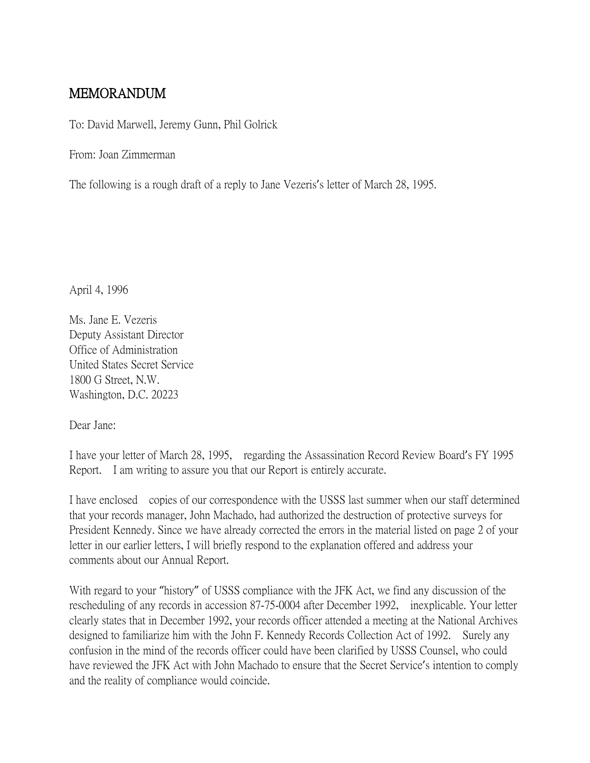## MEMORANDUM

To: David Marwell, Jeremy Gunn, Phil Golrick

From: Joan Zimmerman

The following is a rough draft of a reply to Jane Vezeris's letter of March 28, 1995.

April 4, 1996

Ms. Jane E. Vezeris Deputy Assistant Director Office of Administration United States Secret Service 1800 G Street, N.W. Washington, D.C. 20223

Dear Jane:

I have your letter of March 28, 1995, regarding the Assassination Record Review Board's FY 1995 Report. I am writing to assure you that our Report is entirely accurate.

I have enclosed copies of our correspondence with the USSS last summer when our staff determined that your records manager, John Machado, had authorized the destruction of protective surveys for President Kennedy. Since we have already corrected the errors in the material listed on page 2 of your letter in our earlier letters, I will briefly respond to the explanation offered and address your comments about our Annual Report.

With regard to your "history" of USSS compliance with the JFK Act, we find any discussion of the rescheduling of any records in accession 87-75-0004 after December 1992, inexplicable. Your letter clearly states that in December 1992, your records officer attended a meeting at the National Archives designed to familiarize him with the John F. Kennedy Records Collection Act of 1992. Surely any confusion in the mind of the records officer could have been clarified by USSS Counsel, who could have reviewed the JFK Act with John Machado to ensure that the Secret Service's intention to comply and the reality of compliance would coincide.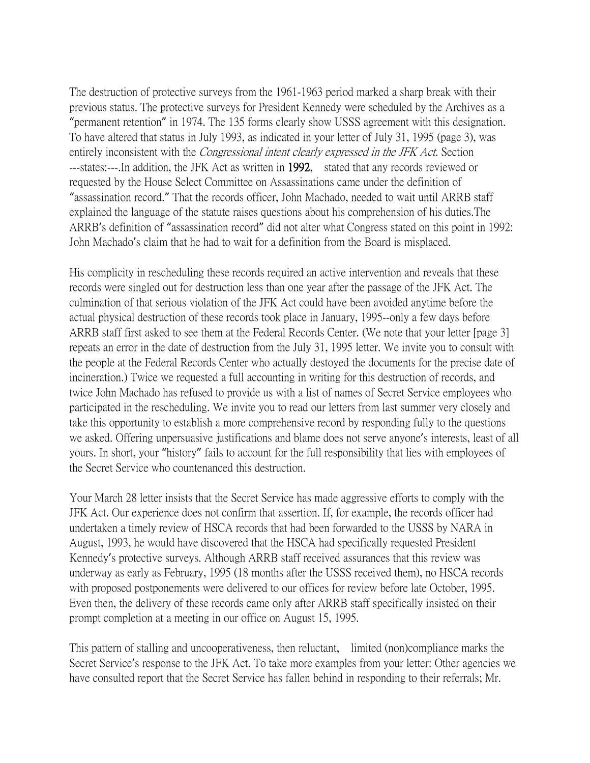The destruction of protective surveys from the 1961-1963 period marked a sharp break with their previous status. The protective surveys for President Kennedy were scheduled by the Archives as a "permanent retention" in 1974. The 135 forms clearly show USSS agreement with this designation. To have altered that status in July 1993, as indicated in your letter of July 31, 1995 (page 3), was entirely inconsistent with the *Congressional intent clearly expressed in the JFK Act*. Section ---states:---.In addition, the JFK Act as written in 1992, stated that any records reviewed or requested by the House Select Committee on Assassinations came under the definition of "assassination record." That the records officer, John Machado, needed to wait until ARRB staff explained the language of the statute raises questions about his comprehension of his duties.The ARRB's definition of "assassination record" did not alter what Congress stated on this point in 1992: John Machado's claim that he had to wait for a definition from the Board is misplaced.

His complicity in rescheduling these records required an active intervention and reveals that these records were singled out for destruction less than one year after the passage of the JFK Act. The culmination of that serious violation of the JFK Act could have been avoided anytime before the actual physical destruction of these records took place in January, 1995--only a few days before ARRB staff first asked to see them at the Federal Records Center. (We note that your letter [page 3] repeats an error in the date of destruction from the July 31, 1995 letter. We invite you to consult with the people at the Federal Records Center who actually destoyed the documents for the precise date of incineration.) Twice we requested a full accounting in writing for this destruction of records, and twice John Machado has refused to provide us with a list of names of Secret Service employees who participated in the rescheduling. We invite you to read our letters from last summer very closely and take this opportunity to establish a more comprehensive record by responding fully to the questions we asked. Offering unpersuasive justifications and blame does not serve anyone's interests, least of all yours. In short, your "history" fails to account for the full responsibility that lies with employees of the Secret Service who countenanced this destruction.

Your March 28 letter insists that the Secret Service has made aggressive efforts to comply with the JFK Act. Our experience does not confirm that assertion. If, for example, the records officer had undertaken a timely review of HSCA records that had been forwarded to the USSS by NARA in August, 1993, he would have discovered that the HSCA had specifically requested President Kennedy's protective surveys. Although ARRB staff received assurances that this review was underway as early as February, 1995 (18 months after the USSS received them), no HSCA records with proposed postponements were delivered to our offices for review before late October, 1995. Even then, the delivery of these records came only after ARRB staff specifically insisted on their prompt completion at a meeting in our office on August 15, 1995.

This pattern of stalling and uncooperativeness, then reluctant, limited (non)compliance marks the Secret Service's response to the JFK Act. To take more examples from your letter: Other agencies we have consulted report that the Secret Service has fallen behind in responding to their referrals; Mr.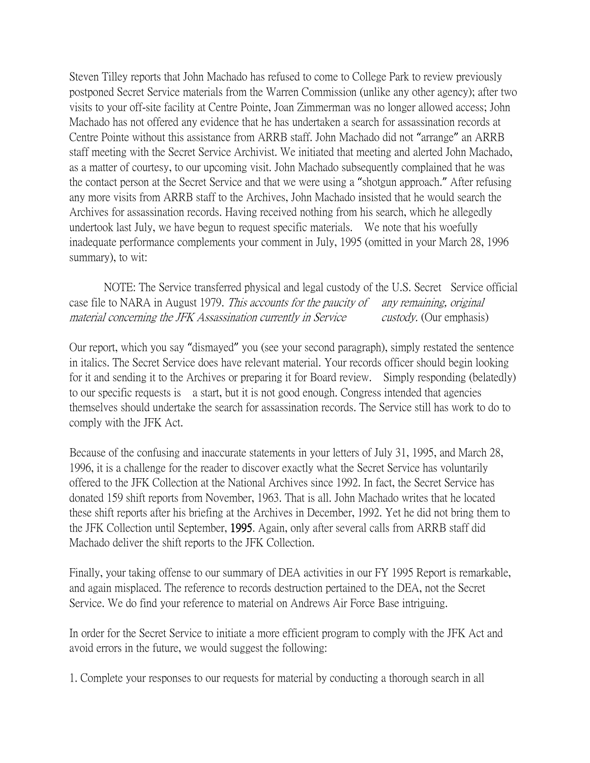Steven Tilley reports that John Machado has refused to come to College Park to review previously postponed Secret Service materials from the Warren Commission (unlike any other agency); after two visits to your off-site facility at Centre Pointe, Joan Zimmerman was no longer allowed access; John Machado has not offered any evidence that he has undertaken a search for assassination records at Centre Pointe without this assistance from ARRB staff. John Machado did not "arrange" an ARRB staff meeting with the Secret Service Archivist. We initiated that meeting and alerted John Machado, as a matter of courtesy, to our upcoming visit. John Machado subsequently complained that he was the contact person at the Secret Service and that we were using a "shotgun approach." After refusing any more visits from ARRB staff to the Archives, John Machado insisted that he would search the Archives for assassination records. Having received nothing from his search, which he allegedly undertook last July, we have begun to request specific materials. We note that his woefully inadequate performance complements your comment in July, 1995 (omitted in your March 28, 1996 summary), to wit:

NOTE: The Service transferred physical and legal custody of the U.S. Secret Service official case file to NARA in August 1979. This accounts for the paucity of any remaining, original material concerning the JFK Assassination currently in Service custody. (Our emphasis)

Our report, which you say "dismayed" you (see your second paragraph), simply restated the sentence in italics. The Secret Service does have relevant material. Your records officer should begin looking for it and sending it to the Archives or preparing it for Board review. Simply responding (belatedly) to our specific requests is a start, but it is not good enough. Congress intended that agencies themselves should undertake the search for assassination records. The Service still has work to do to comply with the JFK Act.

Because of the confusing and inaccurate statements in your letters of July 31, 1995, and March 28, 1996, it is a challenge for the reader to discover exactly what the Secret Service has voluntarily offered to the JFK Collection at the National Archives since 1992. In fact, the Secret Service has donated 159 shift reports from November, 1963. That is all. John Machado writes that he located these shift reports after his briefing at the Archives in December, 1992. Yet he did not bring them to the JFK Collection until September, 1995. Again, only after several calls from ARRB staff did Machado deliver the shift reports to the JFK Collection.

Finally, your taking offense to our summary of DEA activities in our FY 1995 Report is remarkable, and again misplaced. The reference to records destruction pertained to the DEA, not the Secret Service. We do find your reference to material on Andrews Air Force Base intriguing.

In order for the Secret Service to initiate a more efficient program to comply with the JFK Act and avoid errors in the future, we would suggest the following:

1. Complete your responses to our requests for material by conducting a thorough search in all